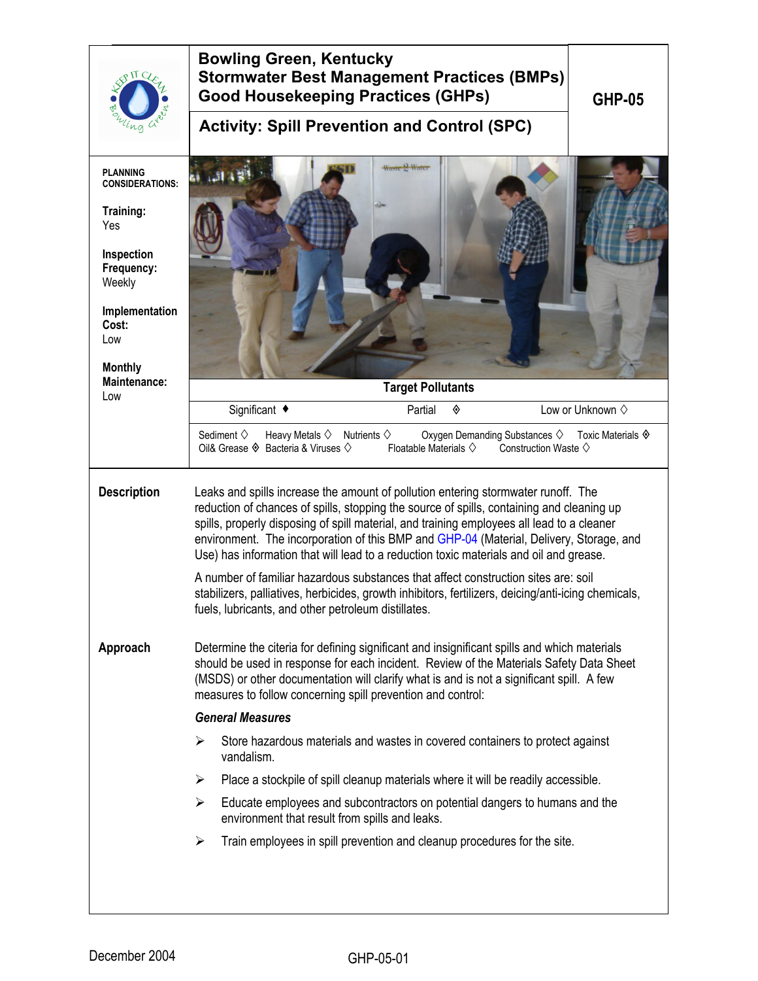| na                                                                                                                                                                                    | <b>Bowling Green, Kentucky</b><br><b>Stormwater Best Management Practices (BMPs)</b><br><b>Good Housekeeping Practices (GHPs)</b><br><b>Activity: Spill Prevention and Control (SPC)</b>                                                                                                                                                                                                                                                                                                                                                                                                                                                                                                                              |                                                                                                                            | <b>GHP-05</b>             |
|---------------------------------------------------------------------------------------------------------------------------------------------------------------------------------------|-----------------------------------------------------------------------------------------------------------------------------------------------------------------------------------------------------------------------------------------------------------------------------------------------------------------------------------------------------------------------------------------------------------------------------------------------------------------------------------------------------------------------------------------------------------------------------------------------------------------------------------------------------------------------------------------------------------------------|----------------------------------------------------------------------------------------------------------------------------|---------------------------|
| <b>PLANNING</b><br><b>CONSIDERATIONS:</b><br>Training:<br>Yes<br>Inspection<br>Frequency:<br>Weekly<br>Implementation<br>Cost:<br>Low<br><b>Monthly</b><br><b>Maintenance:</b><br>Low | Waste & Water                                                                                                                                                                                                                                                                                                                                                                                                                                                                                                                                                                                                                                                                                                         | <b>Target Pollutants</b>                                                                                                   |                           |
|                                                                                                                                                                                       | Significant ◆                                                                                                                                                                                                                                                                                                                                                                                                                                                                                                                                                                                                                                                                                                         | Partial<br>◈                                                                                                               | Low or Unknown $\diamond$ |
|                                                                                                                                                                                       | Sediment $\diamond$<br>Heavy Metals $\diamond$ Nutrients $\diamond$<br>Oil& Grease $\Diamond$ Bacteria & Viruses $\Diamond$                                                                                                                                                                                                                                                                                                                                                                                                                                                                                                                                                                                           | Oxygen Demanding Substances ♦ Toxic Materials ♦<br>Floatable Materials $\diamondsuit$<br>Construction Waste $\diamondsuit$ |                           |
| <b>Description</b>                                                                                                                                                                    | Leaks and spills increase the amount of pollution entering stormwater runoff. The<br>reduction of chances of spills, stopping the source of spills, containing and cleaning up<br>spills, properly disposing of spill material, and training employees all lead to a cleaner<br>environment. The incorporation of this BMP and GHP-04 (Material, Delivery, Storage, and<br>Use) has information that will lead to a reduction toxic materials and oil and grease.<br>A number of familiar hazardous substances that affect construction sites are: soil<br>stabilizers, palliatives, herbicides, growth inhibitors, fertilizers, deicing/anti-icing chemicals,<br>fuels, lubricants, and other petroleum distillates. |                                                                                                                            |                           |
| Approach                                                                                                                                                                              | Determine the citeria for defining significant and insignificant spills and which materials<br>should be used in response for each incident. Review of the Materials Safety Data Sheet<br>(MSDS) or other documentation will clarify what is and is not a significant spill. A few<br>measures to follow concerning spill prevention and control:<br><b>General Measures</b><br>Store hazardous materials and wastes in covered containers to protect against<br>➤<br>vandalism.<br>Place a stockpile of spill cleanup materials where it will be readily accessible.<br>➤                                                                                                                                            |                                                                                                                            |                           |
|                                                                                                                                                                                       | Educate employees and subcontractors on potential dangers to humans and the<br>≻                                                                                                                                                                                                                                                                                                                                                                                                                                                                                                                                                                                                                                      |                                                                                                                            |                           |
|                                                                                                                                                                                       | environment that result from spills and leaks.                                                                                                                                                                                                                                                                                                                                                                                                                                                                                                                                                                                                                                                                        |                                                                                                                            |                           |
|                                                                                                                                                                                       | Train employees in spill prevention and cleanup procedures for the site.<br>➤                                                                                                                                                                                                                                                                                                                                                                                                                                                                                                                                                                                                                                         |                                                                                                                            |                           |
|                                                                                                                                                                                       |                                                                                                                                                                                                                                                                                                                                                                                                                                                                                                                                                                                                                                                                                                                       |                                                                                                                            |                           |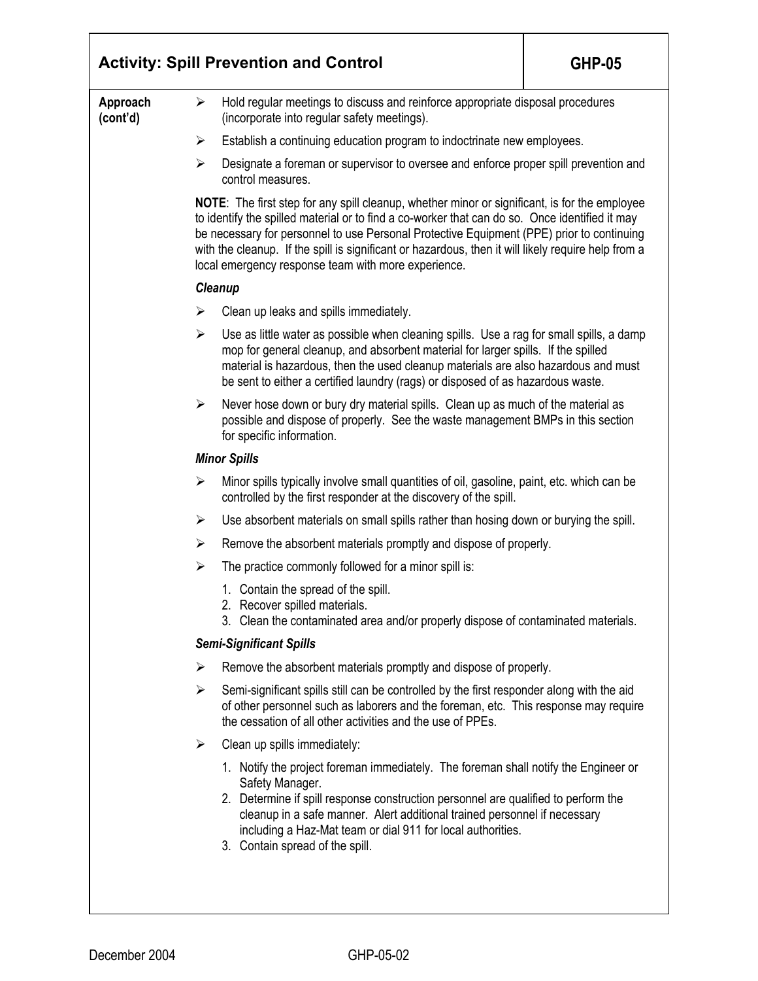|                      | <b>Activity: Spill Prevention and Control</b><br><b>GHP-05</b>                                                                                                                                                                                                                                                                                                                                                                                                    |  |  |  |
|----------------------|-------------------------------------------------------------------------------------------------------------------------------------------------------------------------------------------------------------------------------------------------------------------------------------------------------------------------------------------------------------------------------------------------------------------------------------------------------------------|--|--|--|
| Approach<br>(cont'd) | Hold regular meetings to discuss and reinforce appropriate disposal procedures<br>➤<br>(incorporate into regular safety meetings).                                                                                                                                                                                                                                                                                                                                |  |  |  |
|                      | $\blacktriangleright$<br>Establish a continuing education program to indoctrinate new employees.                                                                                                                                                                                                                                                                                                                                                                  |  |  |  |
|                      | $\blacktriangleright$<br>Designate a foreman or supervisor to oversee and enforce proper spill prevention and<br>control measures.                                                                                                                                                                                                                                                                                                                                |  |  |  |
|                      | <b>NOTE:</b> The first step for any spill cleanup, whether minor or significant, is for the employee<br>to identify the spilled material or to find a co-worker that can do so. Once identified it may<br>be necessary for personnel to use Personal Protective Equipment (PPE) prior to continuing<br>with the cleanup. If the spill is significant or hazardous, then it will likely require help from a<br>local emergency response team with more experience. |  |  |  |
|                      | Cleanup                                                                                                                                                                                                                                                                                                                                                                                                                                                           |  |  |  |
|                      | Clean up leaks and spills immediately.<br>➤                                                                                                                                                                                                                                                                                                                                                                                                                       |  |  |  |
|                      | $\blacktriangleright$<br>Use as little water as possible when cleaning spills. Use a rag for small spills, a damp<br>mop for general cleanup, and absorbent material for larger spills. If the spilled<br>material is hazardous, then the used cleanup materials are also hazardous and must<br>be sent to either a certified laundry (rags) or disposed of as hazardous waste.                                                                                   |  |  |  |
|                      | Never hose down or bury dry material spills. Clean up as much of the material as<br>➤<br>possible and dispose of properly. See the waste management BMPs in this section<br>for specific information.                                                                                                                                                                                                                                                             |  |  |  |
|                      | <b>Minor Spills</b>                                                                                                                                                                                                                                                                                                                                                                                                                                               |  |  |  |
|                      | Minor spills typically involve small quantities of oil, gasoline, paint, etc. which can be<br>$\blacktriangleright$<br>controlled by the first responder at the discovery of the spill.                                                                                                                                                                                                                                                                           |  |  |  |
|                      | $\blacktriangleright$<br>Use absorbent materials on small spills rather than hosing down or burying the spill.                                                                                                                                                                                                                                                                                                                                                    |  |  |  |
|                      | Remove the absorbent materials promptly and dispose of properly.<br>➤                                                                                                                                                                                                                                                                                                                                                                                             |  |  |  |
|                      | The practice commonly followed for a minor spill is:<br>$\blacktriangleright$                                                                                                                                                                                                                                                                                                                                                                                     |  |  |  |
|                      | 1. Contain the spread of the spill.<br>2. Recover spilled materials.<br>3. Clean the contaminated area and/or properly dispose of contaminated materials.                                                                                                                                                                                                                                                                                                         |  |  |  |
|                      | <b>Semi-Significant Spills</b>                                                                                                                                                                                                                                                                                                                                                                                                                                    |  |  |  |
|                      | Remove the absorbent materials promptly and dispose of properly.<br>➤                                                                                                                                                                                                                                                                                                                                                                                             |  |  |  |
|                      | ≻<br>Semi-significant spills still can be controlled by the first responder along with the aid<br>of other personnel such as laborers and the foreman, etc. This response may require<br>the cessation of all other activities and the use of PPEs.                                                                                                                                                                                                               |  |  |  |
|                      | Clean up spills immediately:<br>➤                                                                                                                                                                                                                                                                                                                                                                                                                                 |  |  |  |
|                      | 1. Notify the project foreman immediately. The foreman shall notify the Engineer or<br>Safety Manager.<br>2. Determine if spill response construction personnel are qualified to perform the<br>cleanup in a safe manner. Alert additional trained personnel if necessary<br>including a Haz-Mat team or dial 911 for local authorities.<br>3. Contain spread of the spill.                                                                                       |  |  |  |